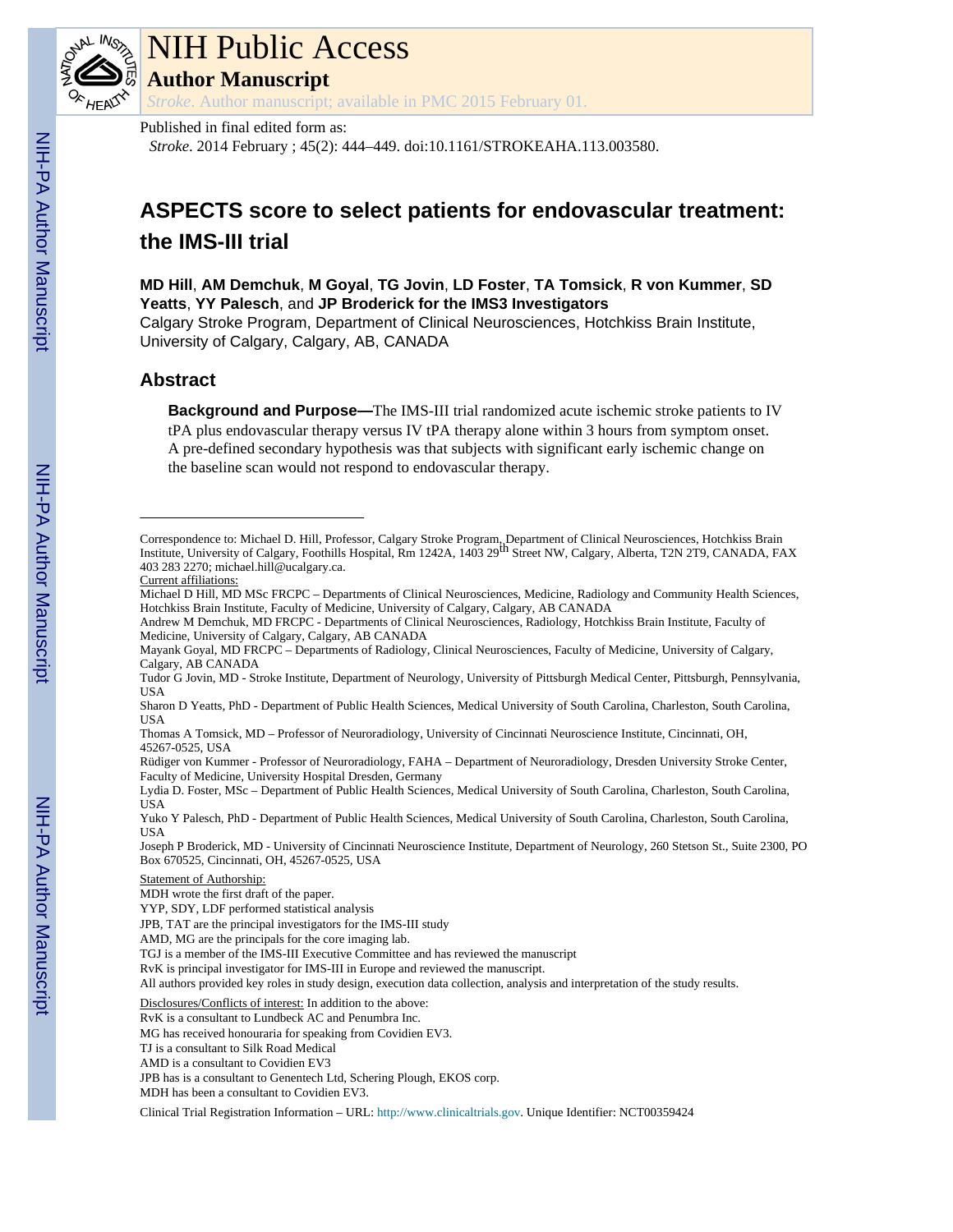

## NIH Public Access

**Author Manuscript**

*Stroke*. Author manuscript; available in PMC 2015 February 01.

#### Published in final edited form as:

*Stroke*. 2014 February ; 45(2): 444–449. doi:10.1161/STROKEAHA.113.003580.

### **ASPECTS score to select patients for endovascular treatment: the IMS-III trial**

**MD Hill**, **AM Demchuk**, **M Goyal**, **TG Jovin**, **LD Foster**, **TA Tomsick**, **R von Kummer**, **SD Yeatts**, **YY Palesch**, and **JP Broderick for the IMS3 Investigators**

Calgary Stroke Program, Department of Clinical Neurosciences, Hotchkiss Brain Institute, University of Calgary, Calgary, AB, CANADA

#### **Abstract**

**Background and Purpose—**The IMS-III trial randomized acute ischemic stroke patients to IV tPA plus endovascular therapy versus IV tPA therapy alone within 3 hours from symptom onset. A pre-defined secondary hypothesis was that subjects with significant early ischemic change on the baseline scan would not respond to endovascular therapy.

Clinical Trial Registration Information – URL:<http://www.clinicaltrials.gov>. Unique Identifier: NCT00359424

Correspondence to: Michael D. Hill, Professor, Calgary Stroke Program, Department of Clinical Neurosciences, Hotchkiss Brain<br>Institute, University of Calgary, Foothills Hospital, Rm 1242A, 1403 29<sup>th</sup> Street NW, Calgary, A 403 283 2270; michael.hill@ucalgary.ca.

Current affiliations:

Michael D Hill, MD MSc FRCPC – Departments of Clinical Neurosciences, Medicine, Radiology and Community Health Sciences, Hotchkiss Brain Institute, Faculty of Medicine, University of Calgary, Calgary, AB CANADA

Andrew M Demchuk, MD FRCPC - Departments of Clinical Neurosciences, Radiology, Hotchkiss Brain Institute, Faculty of Medicine, University of Calgary, Calgary, AB CANADA

Mayank Goyal, MD FRCPC – Departments of Radiology, Clinical Neurosciences, Faculty of Medicine, University of Calgary, Calgary, AB CANADA

Tudor G Jovin, MD - Stroke Institute, Department of Neurology, University of Pittsburgh Medical Center, Pittsburgh, Pennsylvania, USA

Sharon D Yeatts, PhD - Department of Public Health Sciences, Medical University of South Carolina, Charleston, South Carolina, USA

Thomas A Tomsick, MD – Professor of Neuroradiology, University of Cincinnati Neuroscience Institute, Cincinnati, OH, 45267-0525, USA

Rüdiger von Kummer - Professor of Neuroradiology, FAHA – Department of Neuroradiology, Dresden University Stroke Center, Faculty of Medicine, University Hospital Dresden, Germany

Lydia D. Foster, MSc – Department of Public Health Sciences, Medical University of South Carolina, Charleston, South Carolina, USA

Yuko Y Palesch, PhD - Department of Public Health Sciences, Medical University of South Carolina, Charleston, South Carolina, USA

Joseph P Broderick, MD - University of Cincinnati Neuroscience Institute, Department of Neurology, 260 Stetson St., Suite 2300, PO Box 670525, Cincinnati, OH, 45267-0525, USA

Statement of Authorship:

MDH wrote the first draft of the paper.

YYP, SDY, LDF performed statistical analysis

JPB, TAT are the principal investigators for the IMS-III study

AMD, MG are the principals for the core imaging lab.

TGJ is a member of the IMS-III Executive Committee and has reviewed the manuscript

RvK is principal investigator for IMS-III in Europe and reviewed the manuscript.

All authors provided key roles in study design, execution data collection, analysis and interpretation of the study results.

Disclosures/Conflicts of interest: In addition to the above:

RvK is a consultant to Lundbeck AC and Penumbra Inc.

MG has received honouraria for speaking from Covidien EV3.

TJ is a consultant to Silk Road Medical

AMD is a consultant to Covidien EV3

JPB has is a consultant to Genentech Ltd, Schering Plough, EKOS corp.

MDH has been a consultant to Covidien EV3.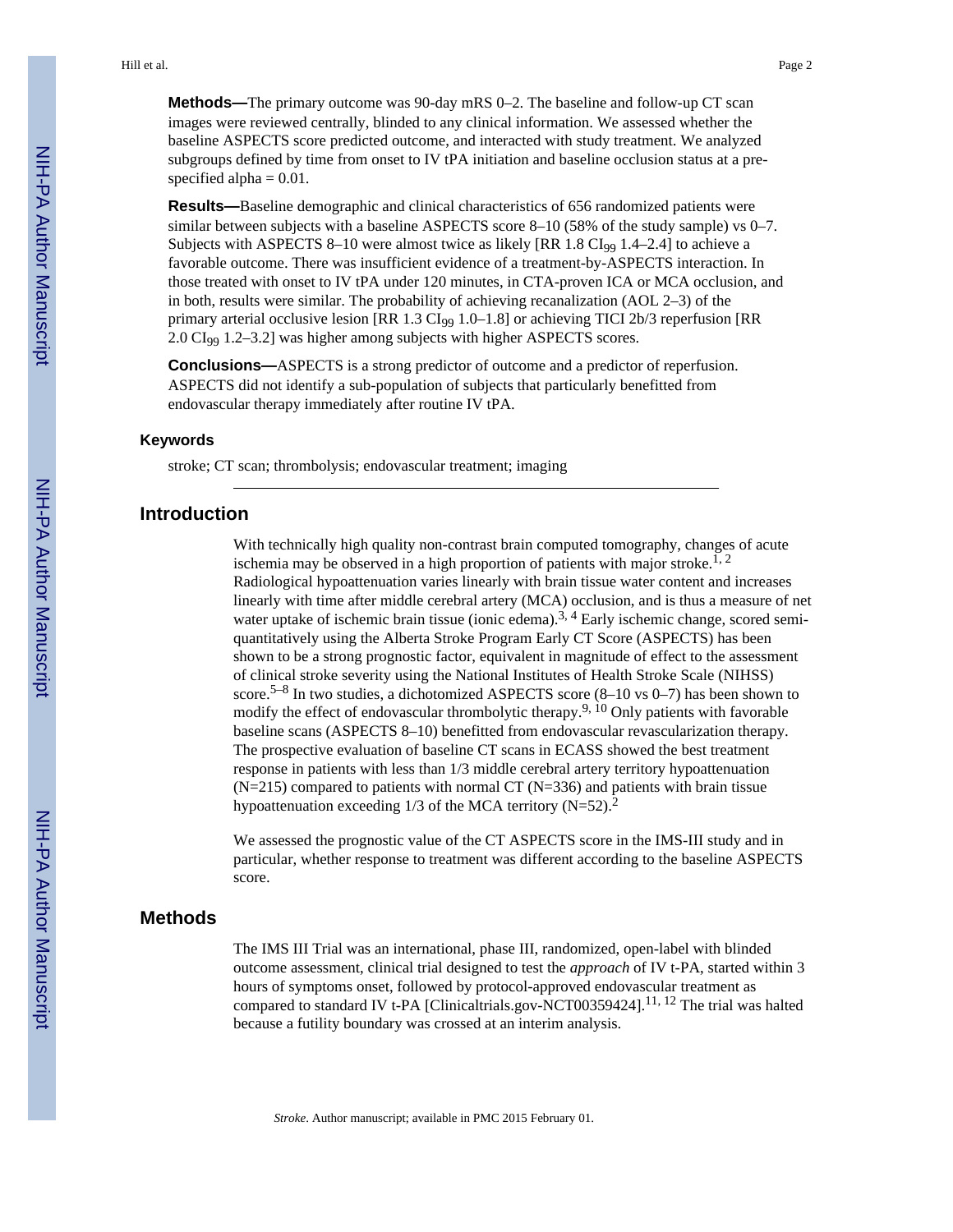**Methods—**The primary outcome was 90-day mRS 0–2. The baseline and follow-up CT scan images were reviewed centrally, blinded to any clinical information. We assessed whether the baseline ASPECTS score predicted outcome, and interacted with study treatment. We analyzed subgroups defined by time from onset to IV tPA initiation and baseline occlusion status at a prespecified alpha  $= 0.01$ .

**Results—**Baseline demographic and clinical characteristics of 656 randomized patients were similar between subjects with a baseline ASPECTS score 8–10 (58% of the study sample) vs 0–7. Subjects with ASPECTS 8–10 were almost twice as likely  $[RR\ 1.8\ CI_{99}\ 1.4–2.4]$  to achieve a favorable outcome. There was insufficient evidence of a treatment-by-ASPECTS interaction. In those treated with onset to IV tPA under 120 minutes, in CTA-proven ICA or MCA occlusion, and in both, results were similar. The probability of achieving recanalization (AOL 2–3) of the primary arterial occlusive lesion  $[RR\ 1.3\ CI_{99}\ 1.0-1.8]$  or achieving TICI 2b/3 reperfusion  $[RR\ 1.3\ CI_{99}\ 1.0-1.8]$ 2.0 CI99 1.2–3.2] was higher among subjects with higher ASPECTS scores.

**Conclusions—**ASPECTS is a strong predictor of outcome and a predictor of reperfusion. ASPECTS did not identify a sub-population of subjects that particularly benefitted from endovascular therapy immediately after routine IV tPA.

#### **Keywords**

stroke; CT scan; thrombolysis; endovascular treatment; imaging

#### **Introduction**

With technically high quality non-contrast brain computed tomography, changes of acute ischemia may be observed in a high proportion of patients with major stroke.<sup>1, 2</sup> Radiological hypoattenuation varies linearly with brain tissue water content and increases linearly with time after middle cerebral artery (MCA) occlusion, and is thus a measure of net water uptake of ischemic brain tissue (ionic edema).<sup>3, 4</sup> Early ischemic change, scored semiquantitatively using the Alberta Stroke Program Early CT Score (ASPECTS) has been shown to be a strong prognostic factor, equivalent in magnitude of effect to the assessment of clinical stroke severity using the National Institutes of Health Stroke Scale (NIHSS) score.5–8 In two studies, a dichotomized ASPECTS score (8–10 vs 0–7) has been shown to modify the effect of endovascular thrombolytic therapy.<sup>9, 10</sup> Only patients with favorable baseline scans (ASPECTS 8–10) benefitted from endovascular revascularization therapy. The prospective evaluation of baseline CT scans in ECASS showed the best treatment response in patients with less than 1/3 middle cerebral artery territory hypoattenuation  $(N=215)$  compared to patients with normal CT  $(N=336)$  and patients with brain tissue hypoattenuation exceeding  $1/3$  of the MCA territory (N=52).<sup>2</sup>

We assessed the prognostic value of the CT ASPECTS score in the IMS-III study and in particular, whether response to treatment was different according to the baseline ASPECTS score.

#### **Methods**

The IMS III Trial was an international, phase III, randomized, open-label with blinded outcome assessment, clinical trial designed to test the *approach* of IV t-PA, started within 3 hours of symptoms onset, followed by protocol-approved endovascular treatment as compared to standard IV t-PA [Clinicaltrials.gov-NCT00359424].<sup>11, 12</sup> The trial was halted because a futility boundary was crossed at an interim analysis.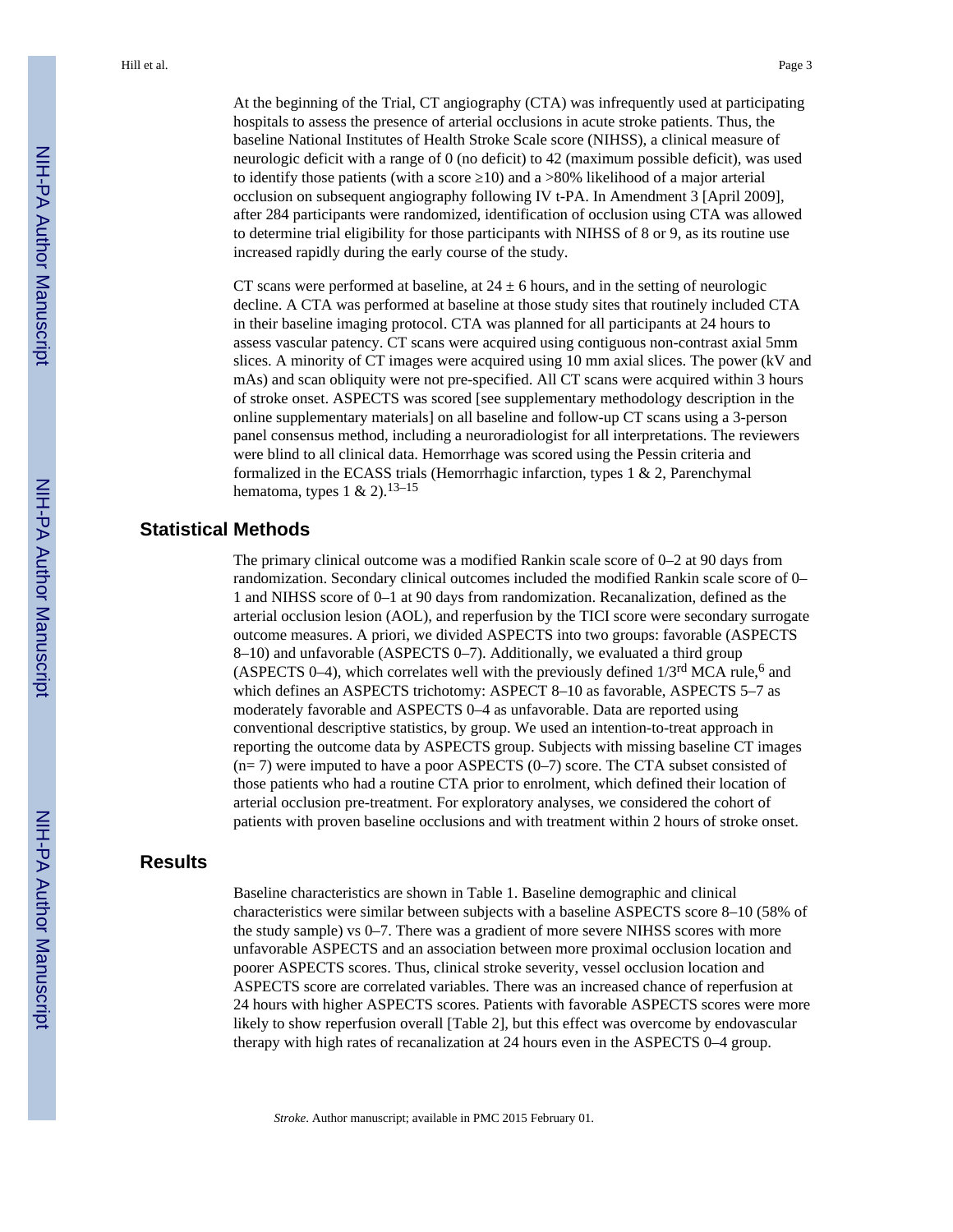At the beginning of the Trial, CT angiography (CTA) was infrequently used at participating hospitals to assess the presence of arterial occlusions in acute stroke patients. Thus, the baseline National Institutes of Health Stroke Scale score (NIHSS), a clinical measure of neurologic deficit with a range of 0 (no deficit) to 42 (maximum possible deficit), was used to identify those patients (with a score  $10$ ) and a >80% likelihood of a major arterial occlusion on subsequent angiography following IV t-PA. In Amendment 3 [April 2009], after 284 participants were randomized, identification of occlusion using CTA was allowed to determine trial eligibility for those participants with NIHSS of 8 or 9, as its routine use increased rapidly during the early course of the study.

CT scans were performed at baseline, at  $24 \pm 6$  hours, and in the setting of neurologic decline. A CTA was performed at baseline at those study sites that routinely included CTA in their baseline imaging protocol. CTA was planned for all participants at 24 hours to assess vascular patency. CT scans were acquired using contiguous non-contrast axial 5mm slices. A minority of CT images were acquired using 10 mm axial slices. The power (kV and mAs) and scan obliquity were not pre-specified. All CT scans were acquired within 3 hours of stroke onset. ASPECTS was scored [see supplementary methodology description in the online supplementary materials] on all baseline and follow-up CT scans using a 3-person panel consensus method, including a neuroradiologist for all interpretations. The reviewers were blind to all clinical data. Hemorrhage was scored using the Pessin criteria and formalized in the ECASS trials (Hemorrhagic infarction, types 1 & 2, Parenchymal hematoma, types  $1 \& 2$ ).<sup>13–15</sup>

#### **Statistical Methods**

The primary clinical outcome was a modified Rankin scale score of 0–2 at 90 days from randomization. Secondary clinical outcomes included the modified Rankin scale score of 0– 1 and NIHSS score of 0–1 at 90 days from randomization. Recanalization, defined as the arterial occlusion lesion (AOL), and reperfusion by the TICI score were secondary surrogate outcome measures. A priori, we divided ASPECTS into two groups: favorable (ASPECTS 8–10) and unfavorable (ASPECTS 0–7). Additionally, we evaluated a third group (ASPECTS 0–4), which correlates well with the previously defined  $1/3<sup>rd</sup>$  MCA rule,<sup>6</sup> and which defines an ASPECTS trichotomy: ASPECT 8–10 as favorable, ASPECTS 5–7 as moderately favorable and ASPECTS 0–4 as unfavorable. Data are reported using conventional descriptive statistics, by group. We used an intention-to-treat approach in reporting the outcome data by ASPECTS group. Subjects with missing baseline CT images  $(n= 7)$  were imputed to have a poor ASPECTS  $(0-7)$  score. The CTA subset consisted of those patients who had a routine CTA prior to enrolment, which defined their location of arterial occlusion pre-treatment. For exploratory analyses, we considered the cohort of patients with proven baseline occlusions and with treatment within 2 hours of stroke onset.

#### **Results**

Baseline characteristics are shown in Table 1. Baseline demographic and clinical characteristics were similar between subjects with a baseline ASPECTS score 8–10 (58% of the study sample) vs 0–7. There was a gradient of more severe NIHSS scores with more unfavorable ASPECTS and an association between more proximal occlusion location and poorer ASPECTS scores. Thus, clinical stroke severity, vessel occlusion location and ASPECTS score are correlated variables. There was an increased chance of reperfusion at 24 hours with higher ASPECTS scores. Patients with favorable ASPECTS scores were more likely to show reperfusion overall [Table 2], but this effect was overcome by endovascular therapy with high rates of recanalization at 24 hours even in the ASPECTS 0–4 group.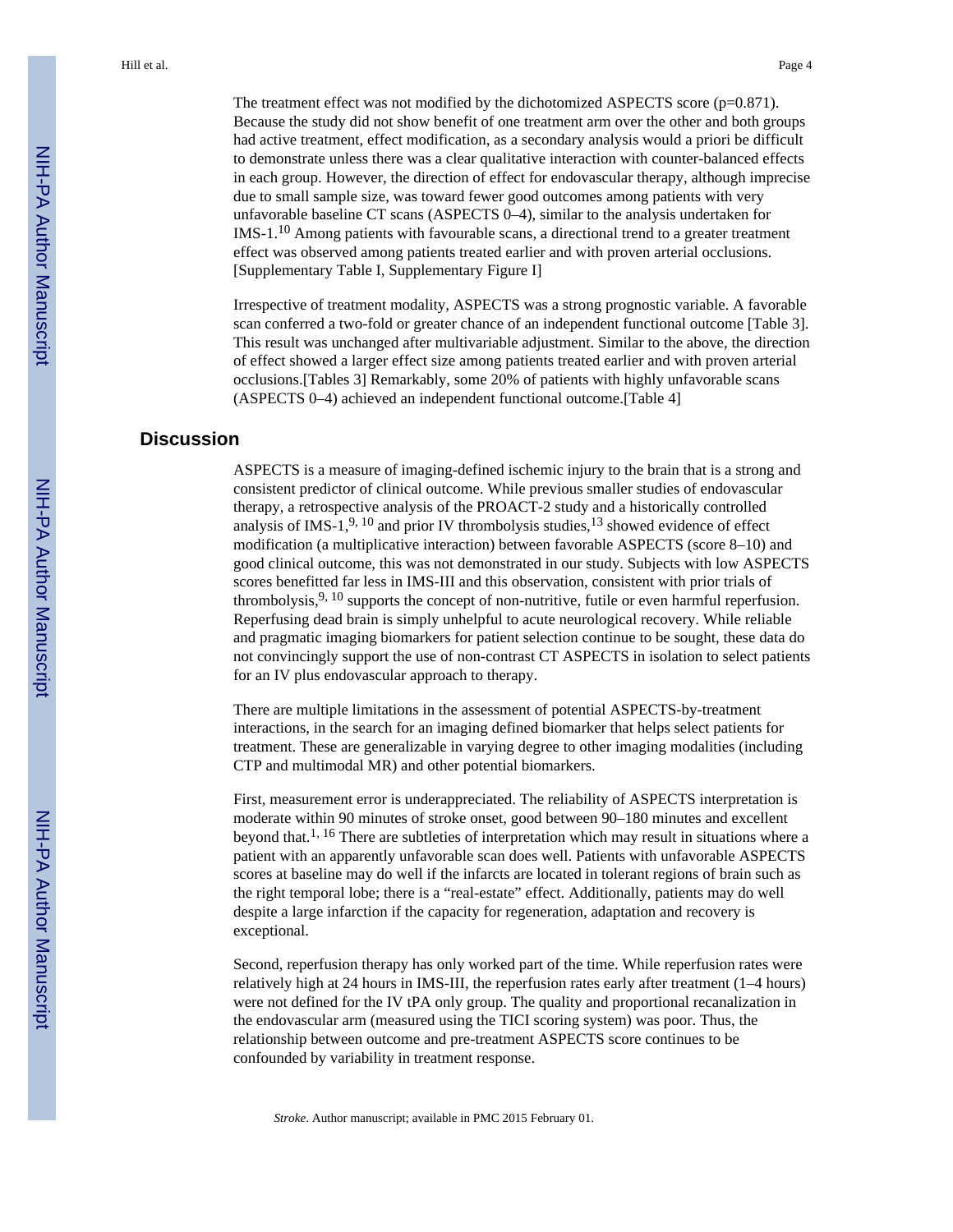The treatment effect was not modified by the dichotomized ASPECTS score (p=0.871). Because the study did not show benefit of one treatment arm over the other and both groups had active treatment, effect modification, as a secondary analysis would a priori be difficult to demonstrate unless there was a clear qualitative interaction with counter-balanced effects in each group. However, the direction of effect for endovascular therapy, although imprecise due to small sample size, was toward fewer good outcomes among patients with very unfavorable baseline CT scans (ASPECTS 0–4), similar to the analysis undertaken for IMS-1.10 Among patients with favourable scans, a directional trend to a greater treatment effect was observed among patients treated earlier and with proven arterial occlusions. [Supplementary Table I, Supplementary Figure I]

Irrespective of treatment modality, ASPECTS was a strong prognostic variable. A favorable scan conferred a two-fold or greater chance of an independent functional outcome [Table 3]. This result was unchanged after multivariable adjustment. Similar to the above, the direction of effect showed a larger effect size among patients treated earlier and with proven arterial occlusions.[Tables 3] Remarkably, some 20% of patients with highly unfavorable scans (ASPECTS 0–4) achieved an independent functional outcome.[Table 4]

#### **Discussion**

ASPECTS is a measure of imaging-defined ischemic injury to the brain that is a strong and consistent predictor of clinical outcome. While previous smaller studies of endovascular therapy, a retrospective analysis of the PROACT-2 study and a historically controlled analysis of IMS-1,<sup>9, 10</sup> and prior IV thrombolysis studies,<sup>13</sup> showed evidence of effect modification (a multiplicative interaction) between favorable ASPECTS (score 8–10) and good clinical outcome, this was not demonstrated in our study. Subjects with low ASPECTS scores benefitted far less in IMS-III and this observation, consistent with prior trials of thrombolysis,  $9, 10$  supports the concept of non-nutritive, futile or even harmful reperfusion. Reperfusing dead brain is simply unhelpful to acute neurological recovery. While reliable and pragmatic imaging biomarkers for patient selection continue to be sought, these data do not convincingly support the use of non-contrast CT ASPECTS in isolation to select patients for an IV plus endovascular approach to therapy.

There are multiple limitations in the assessment of potential ASPECTS-by-treatment interactions, in the search for an imaging defined biomarker that helps select patients for treatment. These are generalizable in varying degree to other imaging modalities (including CTP and multimodal MR) and other potential biomarkers.

First, measurement error is underappreciated. The reliability of ASPECTS interpretation is moderate within 90 minutes of stroke onset, good between 90–180 minutes and excellent beyond that.<sup>1, 16</sup> There are subtleties of interpretation which may result in situations where a patient with an apparently unfavorable scan does well. Patients with unfavorable ASPECTS scores at baseline may do well if the infarcts are located in tolerant regions of brain such as the right temporal lobe; there is a "real-estate" effect. Additionally, patients may do well despite a large infarction if the capacity for regeneration, adaptation and recovery is exceptional.

Second, reperfusion therapy has only worked part of the time. While reperfusion rates were relatively high at 24 hours in IMS-III, the reperfusion rates early after treatment (1–4 hours) were not defined for the IV tPA only group. The quality and proportional recanalization in the endovascular arm (measured using the TICI scoring system) was poor. Thus, the relationship between outcome and pre-treatment ASPECTS score continues to be confounded by variability in treatment response.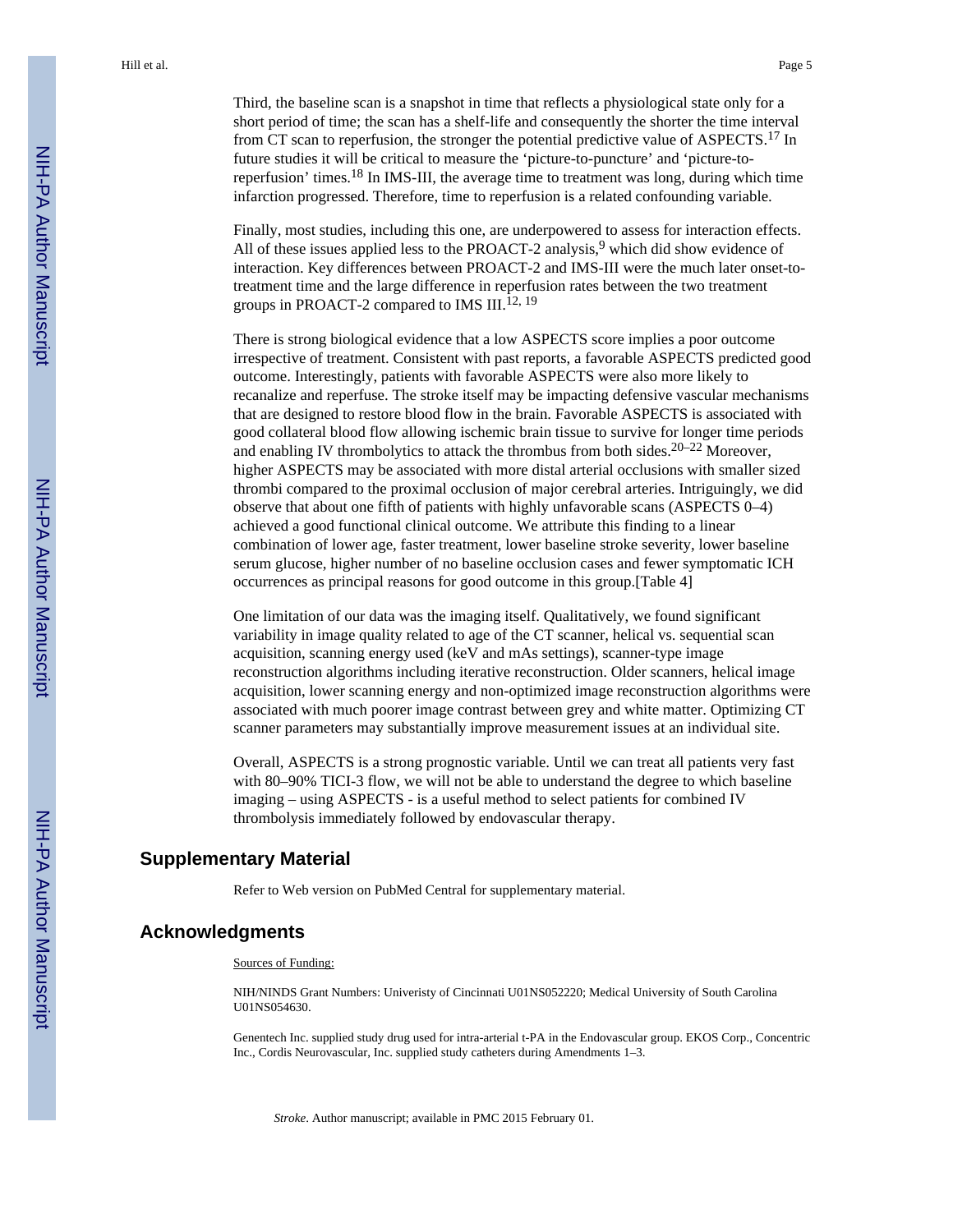Third, the baseline scan is a snapshot in time that reflects a physiological state only for a short period of time; the scan has a shelf-life and consequently the shorter the time interval from CT scan to reperfusion, the stronger the potential predictive value of ASPECTS.<sup>17</sup> In future studies it will be critical to measure the 'picture-to-puncture' and 'picture-toreperfusion' times.18 In IMS-III, the average time to treatment was long, during which time infarction progressed. Therefore, time to reperfusion is a related confounding variable.

Finally, most studies, including this one, are underpowered to assess for interaction effects. All of these issues applied less to the PROACT-2 analysis,  $9$  which did show evidence of interaction. Key differences between PROACT-2 and IMS-III were the much later onset-totreatment time and the large difference in reperfusion rates between the two treatment groups in PROACT-2 compared to IMS III.<sup>12, 19</sup>

There is strong biological evidence that a low ASPECTS score implies a poor outcome irrespective of treatment. Consistent with past reports, a favorable ASPECTS predicted good outcome. Interestingly, patients with favorable ASPECTS were also more likely to recanalize and reperfuse. The stroke itself may be impacting defensive vascular mechanisms that are designed to restore blood flow in the brain. Favorable ASPECTS is associated with good collateral blood flow allowing ischemic brain tissue to survive for longer time periods and enabling IV thrombolytics to attack the thrombus from both sides.20–22 Moreover, higher ASPECTS may be associated with more distal arterial occlusions with smaller sized thrombi compared to the proximal occlusion of major cerebral arteries. Intriguingly, we did observe that about one fifth of patients with highly unfavorable scans (ASPECTS 0–4) achieved a good functional clinical outcome. We attribute this finding to a linear combination of lower age, faster treatment, lower baseline stroke severity, lower baseline serum glucose, higher number of no baseline occlusion cases and fewer symptomatic ICH occurrences as principal reasons for good outcome in this group.[Table 4]

One limitation of our data was the imaging itself. Qualitatively, we found significant variability in image quality related to age of the CT scanner, helical vs. sequential scan acquisition, scanning energy used (keV and mAs settings), scanner-type image reconstruction algorithms including iterative reconstruction. Older scanners, helical image acquisition, lower scanning energy and non-optimized image reconstruction algorithms were associated with much poorer image contrast between grey and white matter. Optimizing CT scanner parameters may substantially improve measurement issues at an individual site.

Overall, ASPECTS is a strong prognostic variable. Until we can treat all patients very fast with 80–90% TICI-3 flow, we will not be able to understand the degree to which baseline imaging – using ASPECTS - is a useful method to select patients for combined IV thrombolysis immediately followed by endovascular therapy.

#### **Supplementary Material**

Refer to Web version on PubMed Central for supplementary material.

#### **Acknowledgments**

#### Sources of Funding:

NIH/NINDS Grant Numbers: Univeristy of Cincinnati U01NS052220; Medical University of South Carolina U01NS054630.

Genentech Inc. supplied study drug used for intra-arterial t-PA in the Endovascular group. EKOS Corp., Concentric Inc., Cordis Neurovascular, Inc. supplied study catheters during Amendments 1–3.

*Stroke*. Author manuscript; available in PMC 2015 February 01.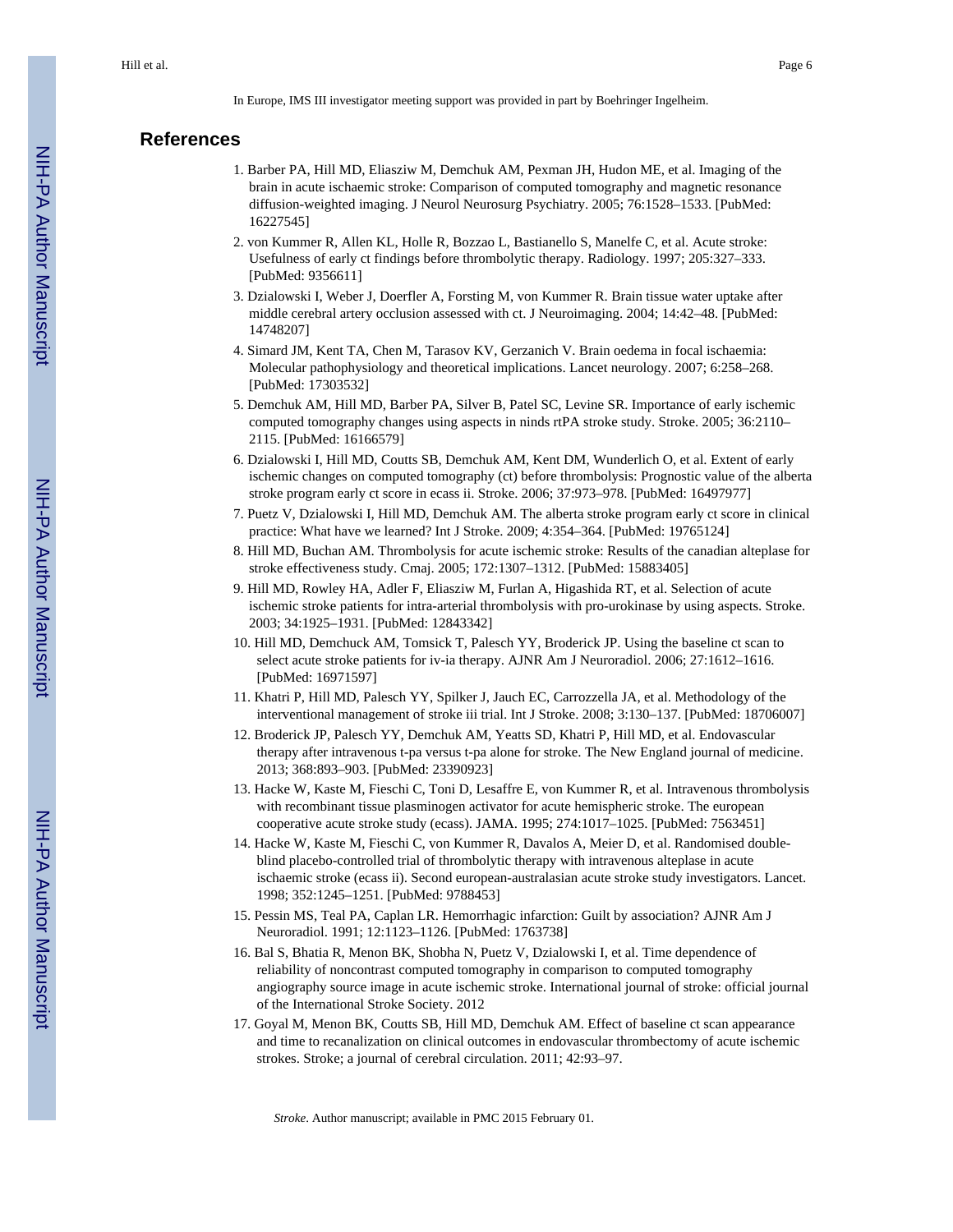In Europe, IMS III investigator meeting support was provided in part by Boehringer Ingelheim.

#### **References**

- 1. Barber PA, Hill MD, Eliasziw M, Demchuk AM, Pexman JH, Hudon ME, et al. Imaging of the brain in acute ischaemic stroke: Comparison of computed tomography and magnetic resonance diffusion-weighted imaging. J Neurol Neurosurg Psychiatry. 2005; 76:1528–1533. [PubMed: 16227545]
- 2. von Kummer R, Allen KL, Holle R, Bozzao L, Bastianello S, Manelfe C, et al. Acute stroke: Usefulness of early ct findings before thrombolytic therapy. Radiology. 1997; 205:327–333. [PubMed: 9356611]
- 3. Dzialowski I, Weber J, Doerfler A, Forsting M, von Kummer R. Brain tissue water uptake after middle cerebral artery occlusion assessed with ct. J Neuroimaging. 2004; 14:42–48. [PubMed: 14748207]
- 4. Simard JM, Kent TA, Chen M, Tarasov KV, Gerzanich V. Brain oedema in focal ischaemia: Molecular pathophysiology and theoretical implications. Lancet neurology. 2007; 6:258–268. [PubMed: 17303532]
- 5. Demchuk AM, Hill MD, Barber PA, Silver B, Patel SC, Levine SR. Importance of early ischemic computed tomography changes using aspects in ninds rtPA stroke study. Stroke. 2005; 36:2110– 2115. [PubMed: 16166579]
- 6. Dzialowski I, Hill MD, Coutts SB, Demchuk AM, Kent DM, Wunderlich O, et al. Extent of early ischemic changes on computed tomography (ct) before thrombolysis: Prognostic value of the alberta stroke program early ct score in ecass ii. Stroke. 2006; 37:973–978. [PubMed: 16497977]
- 7. Puetz V, Dzialowski I, Hill MD, Demchuk AM. The alberta stroke program early ct score in clinical practice: What have we learned? Int J Stroke. 2009; 4:354–364. [PubMed: 19765124]
- 8. Hill MD, Buchan AM. Thrombolysis for acute ischemic stroke: Results of the canadian alteplase for stroke effectiveness study. Cmaj. 2005; 172:1307–1312. [PubMed: 15883405]
- 9. Hill MD, Rowley HA, Adler F, Eliasziw M, Furlan A, Higashida RT, et al. Selection of acute ischemic stroke patients for intra-arterial thrombolysis with pro-urokinase by using aspects. Stroke. 2003; 34:1925–1931. [PubMed: 12843342]
- 10. Hill MD, Demchuck AM, Tomsick T, Palesch YY, Broderick JP. Using the baseline ct scan to select acute stroke patients for iv-ia therapy. AJNR Am J Neuroradiol. 2006; 27:1612–1616. [PubMed: 16971597]
- 11. Khatri P, Hill MD, Palesch YY, Spilker J, Jauch EC, Carrozzella JA, et al. Methodology of the interventional management of stroke iii trial. Int J Stroke. 2008; 3:130–137. [PubMed: 18706007]
- 12. Broderick JP, Palesch YY, Demchuk AM, Yeatts SD, Khatri P, Hill MD, et al. Endovascular therapy after intravenous t-pa versus t-pa alone for stroke. The New England journal of medicine. 2013; 368:893–903. [PubMed: 23390923]
- 13. Hacke W, Kaste M, Fieschi C, Toni D, Lesaffre E, von Kummer R, et al. Intravenous thrombolysis with recombinant tissue plasminogen activator for acute hemispheric stroke. The european cooperative acute stroke study (ecass). JAMA. 1995; 274:1017–1025. [PubMed: 7563451]
- 14. Hacke W, Kaste M, Fieschi C, von Kummer R, Davalos A, Meier D, et al. Randomised doubleblind placebo-controlled trial of thrombolytic therapy with intravenous alteplase in acute ischaemic stroke (ecass ii). Second european-australasian acute stroke study investigators. Lancet. 1998; 352:1245–1251. [PubMed: 9788453]
- 15. Pessin MS, Teal PA, Caplan LR. Hemorrhagic infarction: Guilt by association? AJNR Am J Neuroradiol. 1991; 12:1123–1126. [PubMed: 1763738]
- 16. Bal S, Bhatia R, Menon BK, Shobha N, Puetz V, Dzialowski I, et al. Time dependence of reliability of noncontrast computed tomography in comparison to computed tomography angiography source image in acute ischemic stroke. International journal of stroke: official journal of the International Stroke Society. 2012
- 17. Goyal M, Menon BK, Coutts SB, Hill MD, Demchuk AM. Effect of baseline ct scan appearance and time to recanalization on clinical outcomes in endovascular thrombectomy of acute ischemic strokes. Stroke; a journal of cerebral circulation. 2011; 42:93–97.

*Stroke*. Author manuscript; available in PMC 2015 February 01.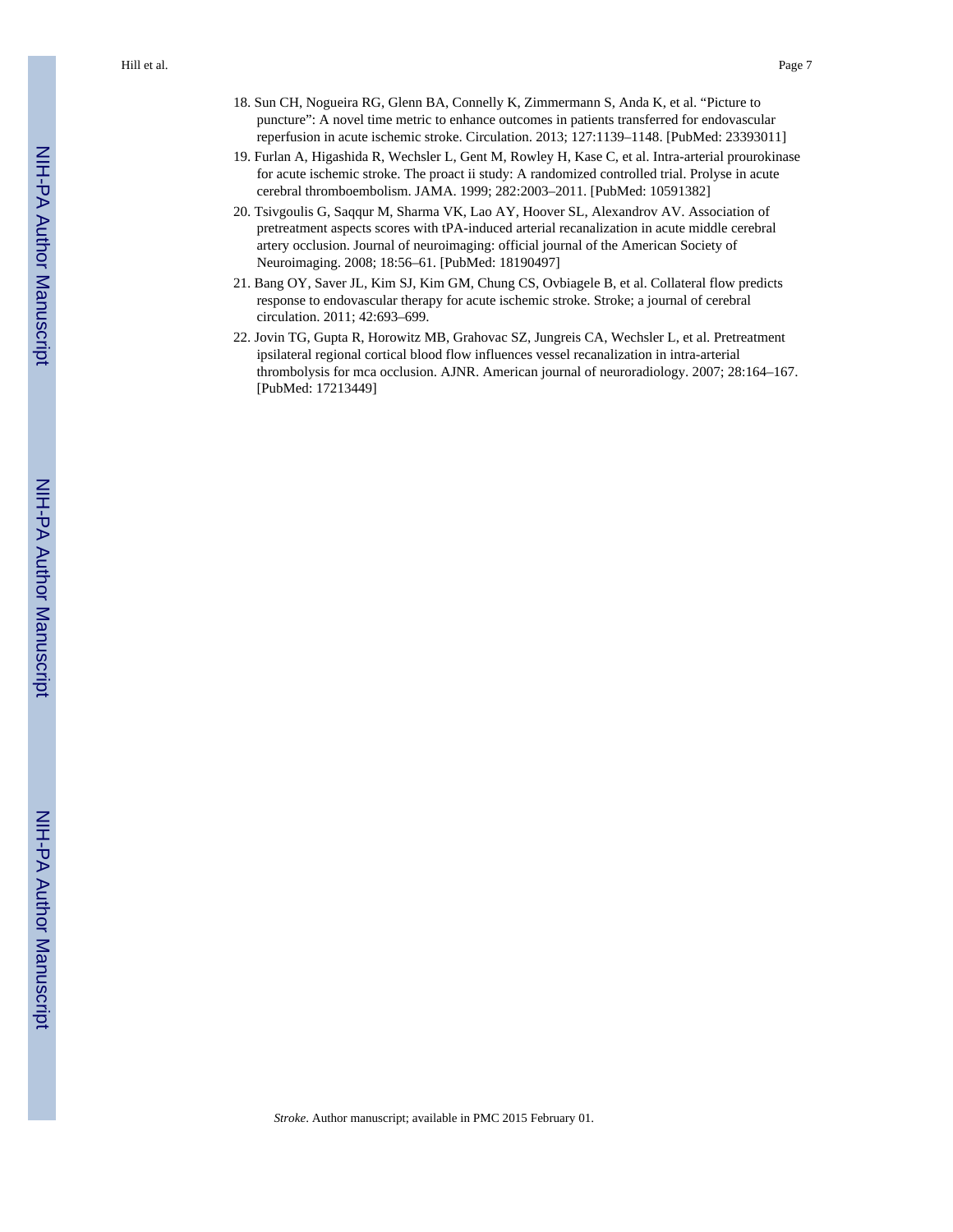Hill et al. Page 7

- 18. Sun CH, Nogueira RG, Glenn BA, Connelly K, Zimmermann S, Anda K, et al. "Picture to puncture": A novel time metric to enhance outcomes in patients transferred for endovascular reperfusion in acute ischemic stroke. Circulation. 2013; 127:1139–1148. [PubMed: 23393011]
- 19. Furlan A, Higashida R, Wechsler L, Gent M, Rowley H, Kase C, et al. Intra-arterial prourokinase for acute ischemic stroke. The proact ii study: A randomized controlled trial. Prolyse in acute cerebral thromboembolism. JAMA. 1999; 282:2003–2011. [PubMed: 10591382]
- 20. Tsivgoulis G, Saqqur M, Sharma VK, Lao AY, Hoover SL, Alexandrov AV. Association of pretreatment aspects scores with tPA-induced arterial recanalization in acute middle cerebral artery occlusion. Journal of neuroimaging: official journal of the American Society of Neuroimaging. 2008; 18:56–61. [PubMed: 18190497]
- 21. Bang OY, Saver JL, Kim SJ, Kim GM, Chung CS, Ovbiagele B, et al. Collateral flow predicts response to endovascular therapy for acute ischemic stroke. Stroke; a journal of cerebral circulation. 2011; 42:693–699.
- 22. Jovin TG, Gupta R, Horowitz MB, Grahovac SZ, Jungreis CA, Wechsler L, et al. Pretreatment ipsilateral regional cortical blood flow influences vessel recanalization in intra-arterial thrombolysis for mca occlusion. AJNR. American journal of neuroradiology. 2007; 28:164–167. [PubMed: 17213449]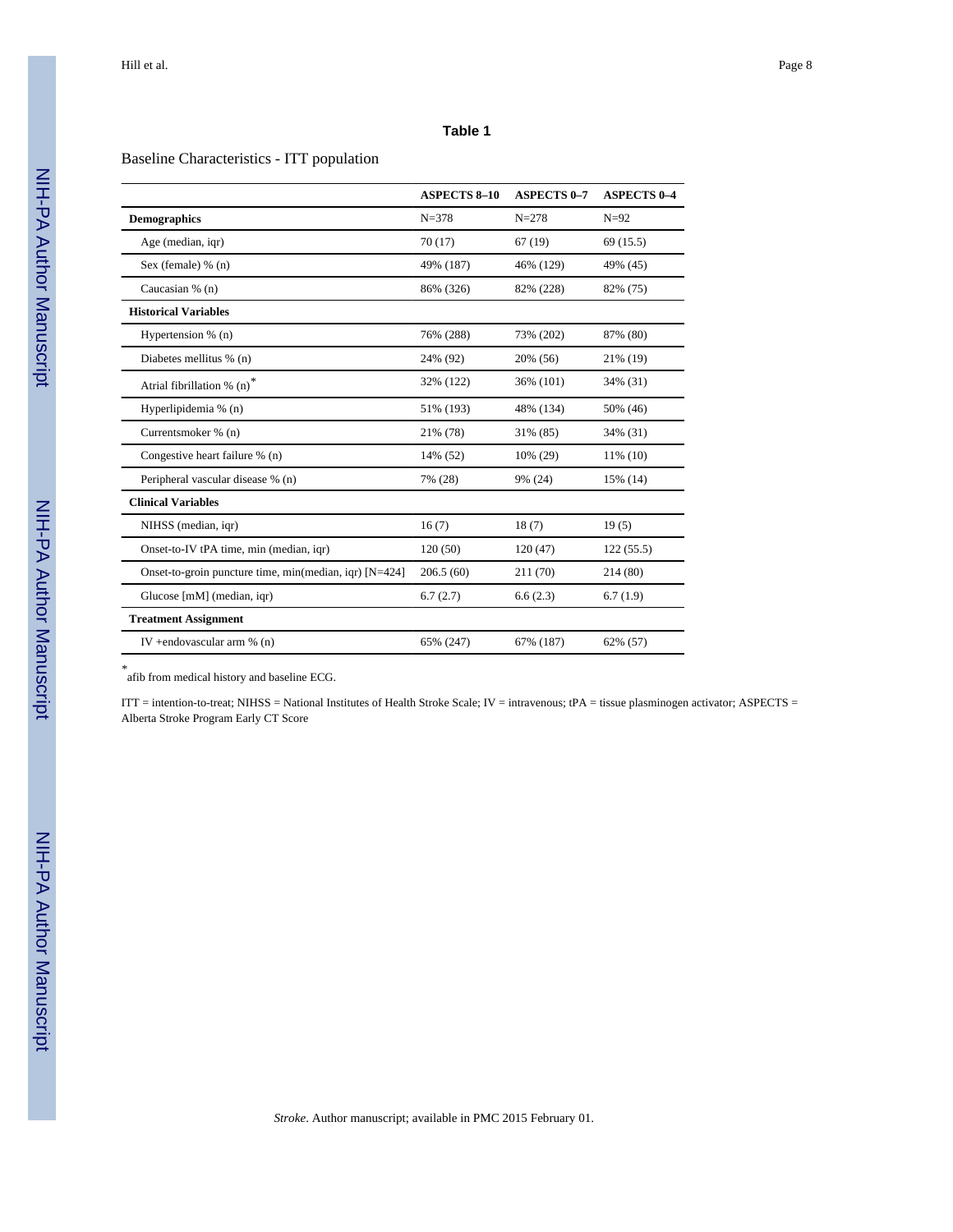#### Baseline Characteristics - ITT population

|                                                        | <b>ASPECTS 8-10</b> | <b>ASPECTS 0-7</b> | <b>ASPECTS 0-4</b> |
|--------------------------------------------------------|---------------------|--------------------|--------------------|
| <b>Demographics</b>                                    | $N = 378$           | $N = 278$          | $N=92$             |
| Age (median, igr)                                      | 70(17)              | 67(19)             | 69(15.5)           |
| Sex (female) $% (n)$                                   | 49% (187)           | 46% (129)          | 49% (45)           |
| Caucasian % (n)                                        | 86% (326)           | 82% (228)          | 82% (75)           |
| <b>Historical Variables</b>                            |                     |                    |                    |
| Hypertension % (n)                                     | 76% (288)           | 73% (202)          | 87% (80)           |
| Diabetes mellitus % (n)                                | 24% (92)            | 20% (56)           | 21% (19)           |
| Atrial fibrillation $% (n)$ <sup>*</sup>               | 32% (122)           | 36% (101)          | 34% (31)           |
| Hyperlipidemia % (n)                                   | 51% (193)           | 48% (134)          | 50% (46)           |
| Currentsmoker % (n)                                    | 21% (78)            | 31% (85)           | 34% (31)           |
| Congestive heart failure % (n)                         | 14% (52)            | 10% (29)           | 11% (10)           |
| Peripheral vascular disease % (n)                      | 7% (28)             | 9% (24)            | 15% (14)           |
| <b>Clinical Variables</b>                              |                     |                    |                    |
| NIHSS (median, igr)                                    | 16(7)               | 18(7)              | 19(5)              |
| Onset-to-IV tPA time, min (median, igr)                | 120(50)             | 120(47)            | 122(55.5)          |
| Onset-to-groin puncture time, min(median, igr) [N=424] | 206.5(60)           | 211 (70)           | 214 (80)           |
| Glucose [mM] (median, iqr)                             | 6.7(2.7)            | 6.6(2.3)           | 6.7(1.9)           |
| <b>Treatment Assignment</b>                            |                     |                    |                    |
| IV +endovascular arm $% (n)$                           | 65% (247)           | 67% (187)          | 62% (57)           |

*\** afib from medical history and baseline ECG.

ITT = intention-to-treat; NIHSS = National Institutes of Health Stroke Scale; IV = intravenous; tPA = tissue plasminogen activator; ASPECTS = Alberta Stroke Program Early CT Score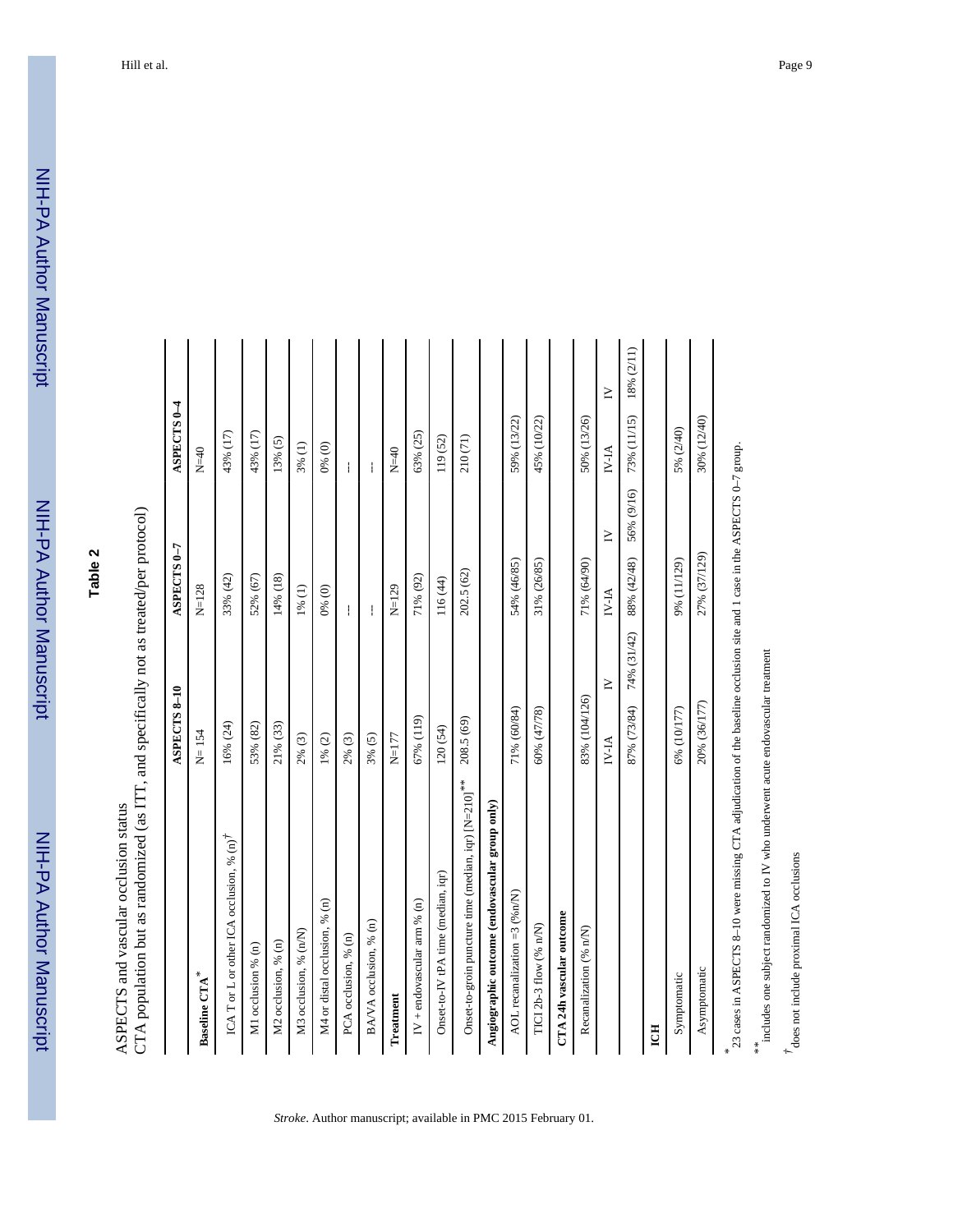ASPECTS and vascular occlusion status<br>CTA population but as randomized (as ITT, and specifically not as treated/per protocol) CTA population but as randomized (as ITT, and specifically not as treated/per protocol) ASPECTS and vascular occlusion status

|                                                                                                                              | ASPECTS 8-10  |             | ASPECTS <sub>0-7</sub> |            | ASPECTS <sub>0-4</sub> |            |
|------------------------------------------------------------------------------------------------------------------------------|---------------|-------------|------------------------|------------|------------------------|------------|
| Baseline CTA $^\ast$                                                                                                         | $N = 154$     |             | $N = 128$              |            | $N=40$                 |            |
| ICA T or L or other ICA occlusion, % $(n)^{\dagger}$                                                                         | 16% (24)      |             | 33% (42)               |            | 43% (17)               |            |
| M1 occlusion % (n)                                                                                                           | 53% (82)      |             | 52% (67)               |            | 43% (17)               |            |
| M2 occlusion, % (n)                                                                                                          | 21% (33)      |             | 14% (18)               |            | 13% (5)                |            |
| M3 occlusion, % (n/N)                                                                                                        | 2% (3)        |             | 1% (1)                 |            | 3% (1)                 |            |
| M4 or distal occlusion, % (n)                                                                                                | 1% (2)        |             | 0% (0)                 |            | 0% (0)                 |            |
| PCA occlusion, % (n)                                                                                                         | 2% (3)        |             | ŧ                      |            | ł                      |            |
| BA/VA occlusion, % (n)                                                                                                       | 3% (5)        |             | ŧ                      |            | ŧ                      |            |
| Treatment                                                                                                                    | $N=177$       |             | $N = 129$              |            | $N=40$                 |            |
| IV + endovascular arm $%$ (n)                                                                                                | 67% (119)     |             | 71% (92)               |            | 63% (25)               |            |
| Onset-to-IV tPA time (median, iqr)                                                                                           | 120(54)       |             | 116 (44)               |            | 119(52)                |            |
| Onset-to-groin puncture time (median, iqr) [N=210]**                                                                         | 208.5 (69)    |             | 202.5 (62)             |            | 210 (71)               |            |
| Angiographic outcome (endovascular group only)                                                                               |               |             |                        |            |                        |            |
| AOL recanalization = $3$ (% n/N)                                                                                             | 71% (60/84)   |             | 54% (46/85)            |            | 59% (13/22)            |            |
| TICI 2b-3 flow (% n/N)                                                                                                       | 60% (47/78)   |             | 31% (26/85)            |            | 45% (10/22)            |            |
| CTA 24h vascular outcome                                                                                                     |               |             |                        |            |                        |            |
| Recanalization (% n/N)                                                                                                       | 83% (104/126) |             | 71% (64/90)            |            | 50% (13/26)            |            |
|                                                                                                                              | $N$ -IA       | $\geq$      | $N-IA$                 | $\geq$     | <b>NFAI</b>            | $\geq$     |
|                                                                                                                              | 87% (73/84)   | 74% (31/42) | 88% (42/48)            | 56% (9/16) | 73% (11/15)            | 18% (2/11) |
| ICH                                                                                                                          |               |             |                        |            |                        |            |
| Symptomatic                                                                                                                  | 6% (10/177)   |             | 9% (11/129)            |            | 5% (2/40)              |            |
| Asymptomatic                                                                                                                 | 20% (36/177)  |             | 27% (37/129)           |            | 30% (12/40)            |            |
| * 23 cases in ASPECTS 8-10 were missing CTA adjudication of the baseline occlusion site and 1 case in the ASPECTS 0-7 group. |               |             |                        |            |                        |            |

*Stroke*. Author manuscript; available in PMC 2015 February 01.

\*\* lincludes one subject randomized to IV who underwent acute endovascular treatment includes one subject randomized to IV who underwent acute endovascular treatment

*†*does not include proximal ICA occlusions

 $\ensuremath{\vec{\tau}}$  does not include proximal ICA occlusions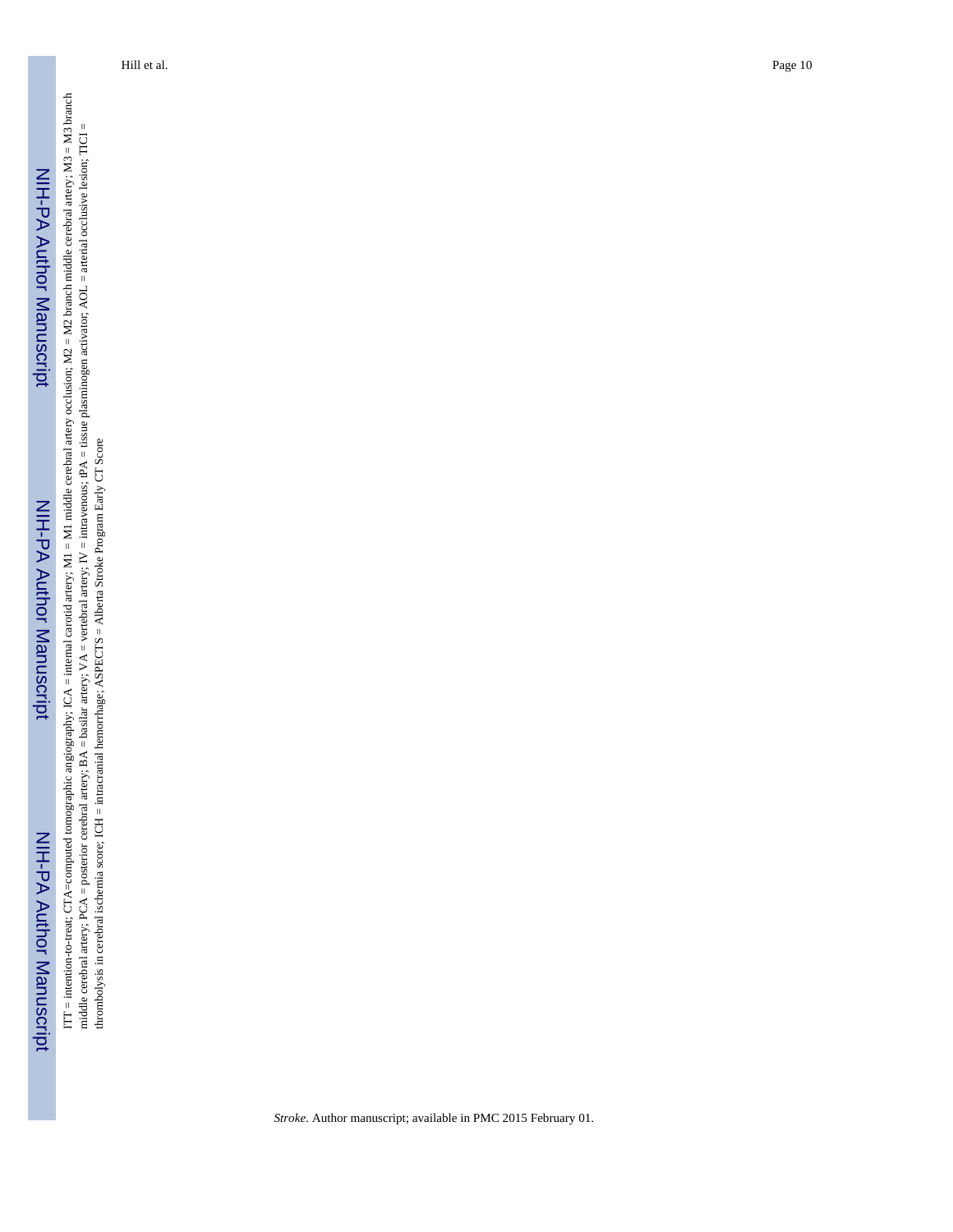ITT = intention-to-treat; CTA=computed tomographic angiography; ICA = internal carotid artery; M1 = M1 middle cerebral artery occlusion; M2 = M2 branch middle cerebral artery; M3 = M3 branch ITT = intention-to-treat; CTA=computed tomographic angiography; ICA = internal carotid artery; M1 = M1 middle cerebral artery occlusion; M2 = M2 branch middle cerebral artery; M3 = M3 branch middle cerebral artery; PCA = posterior cerebral artery; BA = basilar artery; VA = vertebral artery; IV = intravenous; tPA = tissue plasminogen activator; AOL = arterial occlusive lesion; TICI = middle cerebral artery; PCA = posterior cerebral artery; BA = basilar artery; VA = vertebral artery; IV = intravenous; tPA = tissue plasminogen activator; AOL = arterial occlusive lesion; TICI = thrombolysis in cerebral ischemia score; ICH = intracranial hemorrhage; ASPECTS = Alberta Stroke Program Early CT Score thrombolysis in cerebral ischemia score; ICH = intracranial hemorrhage; ASPECTS = Alberta Stroke Program Early CT Score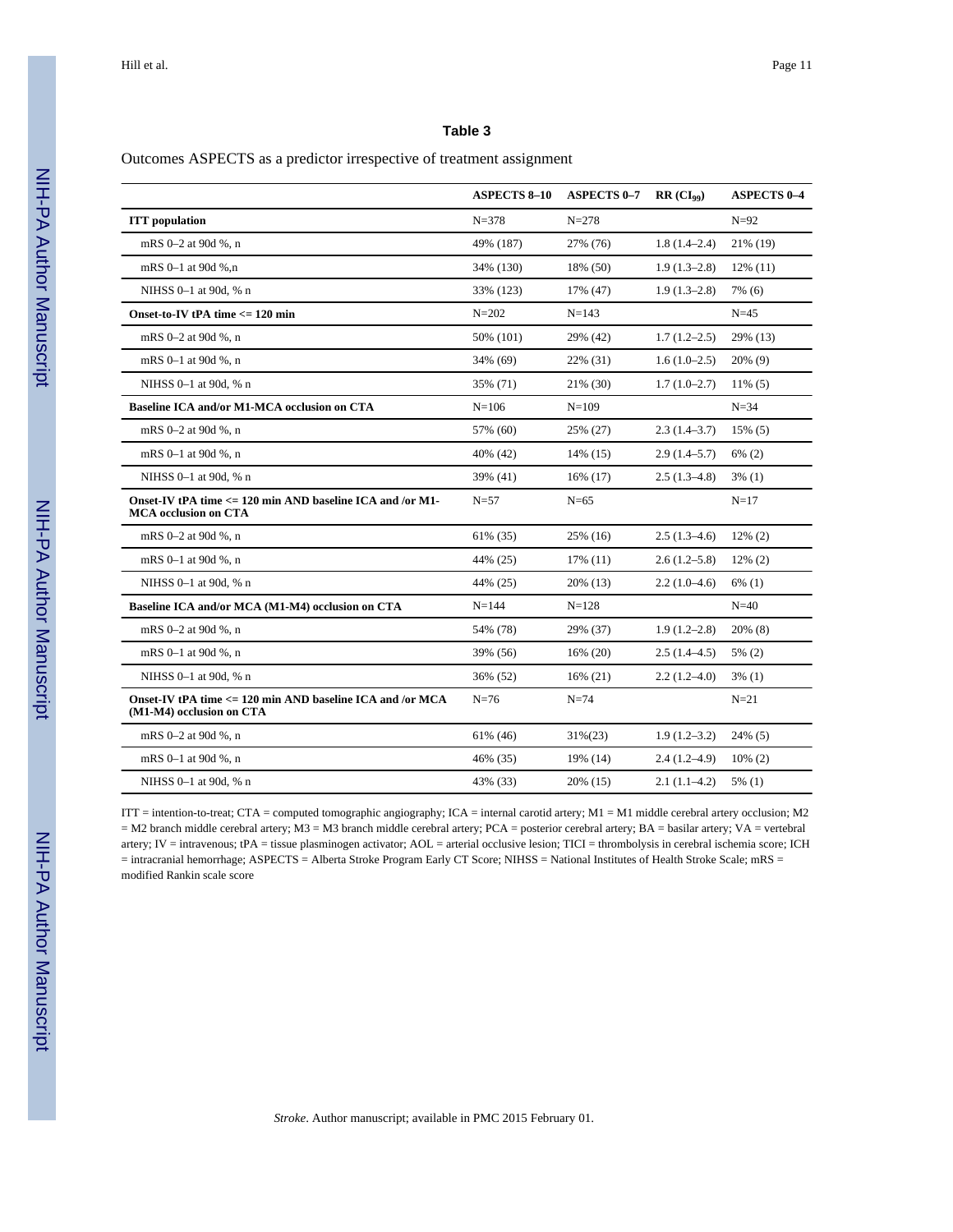#### Outcomes ASPECTS as a predictor irrespective of treatment assignment

|                                                                                          | <b>ASPECTS 8-10</b> | <b>ASPECTS 0-7</b> | $RR (CI_{99})$   | <b>ASPECTS 0-4</b> |
|------------------------------------------------------------------------------------------|---------------------|--------------------|------------------|--------------------|
| <b>ITT</b> population                                                                    | $N = 378$           | $N = 278$          |                  | $N=92$             |
| mRS 0-2 at 90d %, n                                                                      | 49% (187)           | 27% (76)           | $1.8(1.4-2.4)$   | 21% (19)           |
| mRS 0-1 at 90d %.n                                                                       | 34% (130)           | 18% (50)           | $1.9(1.3-2.8)$   | $12\%$ (11)        |
| NIHSS 0-1 at 90d, % n                                                                    | 33% (123)           | 17% (47)           | $1.9(1.3-2.8)$   | 7% (6)             |
| Onset-to-IV tPA time <= 120 min                                                          | $N = 202$           | $N = 143$          |                  | $N=45$             |
| mRS 0-2 at 90d %, n                                                                      | 50% (101)           | 29% (42)           | $1.7(1.2-2.5)$   | 29% (13)           |
| mRS 0-1 at 90d %, n                                                                      | 34% (69)            | 22% (31)           | $1.6(1.0-2.5)$   | 20% (9)            |
| NIHSS 0-1 at 90d, % n                                                                    | 35% (71)            | 21% (30)           | $1.7(1.0-2.7)$   | $11\%$ (5)         |
| <b>Baseline ICA and/or M1-MCA occlusion on CTA</b>                                       | $N = 106$           | $N = 109$          |                  | $N=34$             |
| mRS 0-2 at 90d %, n                                                                      | 57% (60)            | 25% (27)           | $2.3(1.4-3.7)$   | $15\%$ (5)         |
| mRS 0-1 at 90d %, n                                                                      | 40% (42)            | 14% (15)           | $2.9(1.4-5.7)$   | $6\%$ (2)          |
| NIHSS 0-1 at 90d, % n                                                                    | 39% (41)            | 16% (17)           | $2.5(1.3-4.8)$   | $3\%$ (1)          |
| Onset-IV tPA time <= 120 min AND baseline ICA and /or M1-<br><b>MCA</b> occlusion on CTA | $N = 57$            | $N = 65$           |                  | $N = 17$           |
| mRS 0-2 at 90d %, n                                                                      | 61% (35)            | 25% (16)           | $2.5(1.3-4.6)$   | $12\%$ (2)         |
| mRS 0-1 at 90d %, n                                                                      | 44% (25)            | 17% (11)           | $2.6(1.2-5.8)$   | $12\%$ (2)         |
| NIHSS 0-1 at 90d, % n                                                                    | 44% (25)            | 20% (13)           | $2.2(1.0-4.6)$   | $6\%$ (1)          |
| Baseline ICA and/or MCA (M1-M4) occlusion on CTA                                         | $N = 144$           | $N = 128$          |                  | $N=40$             |
| mRS 0-2 at 90d %, n                                                                      | 54% (78)            | 29% (37)           | $1.9(1.2 - 2.8)$ | $20\%$ (8)         |
| mRS 0-1 at 90d %, n                                                                      | 39% (56)            | 16% (20)           | $2.5(1.4-4.5)$   | 5% (2)             |
| NIHSS 0-1 at 90d, % n                                                                    | 36% (52)            | $16\%$ (21)        | $2.2(1.2 - 4.0)$ | $3\%$ (1)          |
| Onset-IV tPA time <= 120 min AND baseline ICA and /or MCA<br>(M1-M4) occlusion on CTA    | $N=76$              | $N = 74$           |                  | $N=21$             |
| mRS 0-2 at 90d %, n                                                                      | 61% (46)            | $31\%(23)$         | $1.9(1.2-3.2)$   | 24% (5)            |
| mRS 0-1 at 90d %, n                                                                      | 46% (35)            | 19% (14)           | $2.4(1.2 - 4.9)$ | $10\%$ (2)         |
| NIHSS 0-1 at 90d, % n                                                                    | 43% (33)            | 20% (15)           | $2.1(1.1-4.2)$   | 5% (1)             |

ITT = intention-to-treat; CTA = computed tomographic angiography; ICA = internal carotid artery; M1 = M1 middle cerebral artery occlusion; M2 = M2 branch middle cerebral artery; M3 = M3 branch middle cerebral artery; PCA = posterior cerebral artery; BA = basilar artery; VA = vertebral artery; IV = intravenous; tPA = tissue plasminogen activator; AOL = arterial occlusive lesion; TICI = thrombolysis in cerebral ischemia score; ICH = intracranial hemorrhage; ASPECTS = Alberta Stroke Program Early CT Score; NIHSS = National Institutes of Health Stroke Scale; mRS = modified Rankin scale score